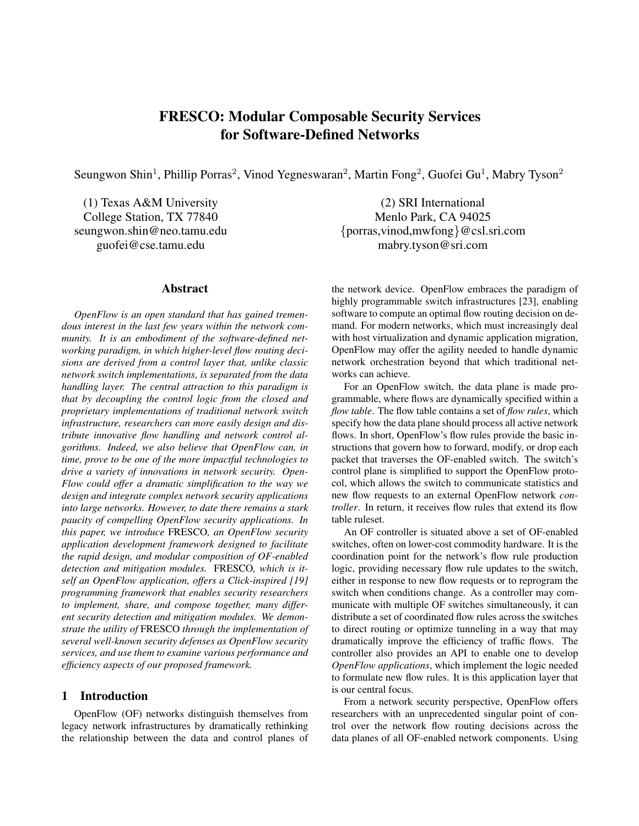# FRESCO: Modular Composable Security Services for Software-Defined Networks

Seungwon Shin<sup>1</sup>, Phillip Porras<sup>2</sup>, Vinod Yegneswaran<sup>2</sup>, Martin Fong<sup>2</sup>, Guofei Gu<sup>1</sup>, Mabry Tyson<sup>2</sup>

#### Abstract

*OpenFlow is an open standard that has gained tremendous interest in the last few years within the network community. It is an embodiment of the software-defined networking paradigm, in which higher-level flow routing decisions are derived from a control layer that, unlike classic network switch implementations, is separated from the data handling layer. The central attraction to this paradigm is that by decoupling the control logic from the closed and proprietary implementations of traditional network switch infrastructure, researchers can more easily design and distribute innovative flow handling and network control algorithms. Indeed, we also believe that OpenFlow can, in time, prove to be one of the more impactful technologies to drive a variety of innovations in network security. Open-Flow could offer a dramatic simplification to the way we design and integrate complex network security applications into large networks. However, to date there remains a stark paucity of compelling OpenFlow security applications. In this paper, we introduce* FRESCO*, an OpenFlow security application development framework designed to facilitate the rapid design, and modular composition of OF-enabled detection and mitigation modules.* FRESCO*, which is itself an OpenFlow application, offers a Click-inspired [19] programming framework that enables security researchers to implement, share, and compose together, many different security detection and mitigation modules. We demonstrate the utility of* FRESCO *through the implementation of several well-known security defenses as OpenFlow security services, and use them to examine various performance and efficiency aspects of our proposed framework.*

### 1 Introduction

OpenFlow (OF) networks distinguish themselves from legacy network infrastructures by dramatically rethinking the relationship between the data and control planes of

(1) Texas A&M University (2) SRI International College Station, TX 77840 Menlo Park, CA 94025 seungwon.shin@neo.tamu.edu {porras,vinod,mwfong}@csl.sri.com guofei@cse.tamu.edu mabry.tyson@sri.com

> the network device. OpenFlow embraces the paradigm of highly programmable switch infrastructures [23], enabling software to compute an optimal flow routing decision on demand. For modern networks, which must increasingly deal with host virtualization and dynamic application migration, OpenFlow may offer the agility needed to handle dynamic network orchestration beyond that which traditional networks can achieve.

> For an OpenFlow switch, the data plane is made programmable, where flows are dynamically specified within a *flow table*. The flow table contains a set of *flow rules*, which specify how the data plane should process all active network flows. In short, OpenFlow's flow rules provide the basic instructions that govern how to forward, modify, or drop each packet that traverses the OF-enabled switch. The switch's control plane is simplified to support the OpenFlow protocol, which allows the switch to communicate statistics and new flow requests to an external OpenFlow network *controller*. In return, it receives flow rules that extend its flow table ruleset.

> An OF controller is situated above a set of OF-enabled switches, often on lower-cost commodity hardware. It is the coordination point for the network's flow rule production logic, providing necessary flow rule updates to the switch, either in response to new flow requests or to reprogram the switch when conditions change. As a controller may communicate with multiple OF switches simultaneously, it can distribute a set of coordinated flow rules across the switches to direct routing or optimize tunneling in a way that may dramatically improve the efficiency of traffic flows. The controller also provides an API to enable one to develop *OpenFlow applications*, which implement the logic needed to formulate new flow rules. It is this application layer that is our central focus.

> From a network security perspective, OpenFlow offers researchers with an unprecedented singular point of control over the network flow routing decisions across the data planes of all OF-enabled network components. Using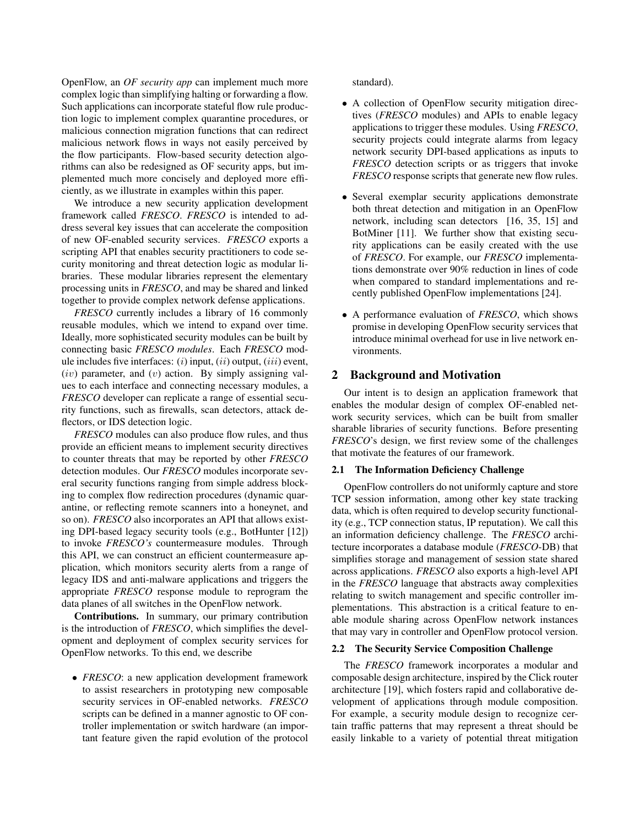OpenFlow, an *OF security app* can implement much more complex logic than simplifying halting or forwarding a flow. Such applications can incorporate stateful flow rule production logic to implement complex quarantine procedures, or malicious connection migration functions that can redirect malicious network flows in ways not easily perceived by the flow participants. Flow-based security detection algorithms can also be redesigned as OF security apps, but implemented much more concisely and deployed more efficiently, as we illustrate in examples within this paper.

We introduce a new security application development framework called *FRESCO*. *FRESCO* is intended to address several key issues that can accelerate the composition of new OF-enabled security services. *FRESCO* exports a scripting API that enables security practitioners to code security monitoring and threat detection logic as modular libraries. These modular libraries represent the elementary processing units in *FRESCO*, and may be shared and linked together to provide complex network defense applications.

*FRESCO* currently includes a library of 16 commonly reusable modules, which we intend to expand over time. Ideally, more sophisticated security modules can be built by connecting basic *FRESCO modules*. Each *FRESCO* module includes five interfaces:  $(i)$  input,  $(ii)$  output,  $(iii)$  event,  $(iv)$  parameter, and  $(v)$  action. By simply assigning values to each interface and connecting necessary modules, a *FRESCO* developer can replicate a range of essential security functions, such as firewalls, scan detectors, attack deflectors, or IDS detection logic.

*FRESCO* modules can also produce flow rules, and thus provide an efficient means to implement security directives to counter threats that may be reported by other *FRESCO* detection modules. Our *FRESCO* modules incorporate several security functions ranging from simple address blocking to complex flow redirection procedures (dynamic quarantine, or reflecting remote scanners into a honeynet, and so on). *FRESCO* also incorporates an API that allows existing DPI-based legacy security tools (e.g., BotHunter [12]) to invoke *FRESCO's* countermeasure modules. Through this API, we can construct an efficient countermeasure application, which monitors security alerts from a range of legacy IDS and anti-malware applications and triggers the appropriate *FRESCO* response module to reprogram the data planes of all switches in the OpenFlow network.

Contributions. In summary, our primary contribution is the introduction of *FRESCO*, which simplifies the development and deployment of complex security services for OpenFlow networks. To this end, we describe

• *FRESCO*: a new application development framework to assist researchers in prototyping new composable security services in OF-enabled networks. *FRESCO* scripts can be defined in a manner agnostic to OF controller implementation or switch hardware (an important feature given the rapid evolution of the protocol standard).

- A collection of OpenFlow security mitigation directives (*FRESCO* modules) and APIs to enable legacy applications to trigger these modules. Using *FRESCO*, security projects could integrate alarms from legacy network security DPI-based applications as inputs to *FRESCO* detection scripts or as triggers that invoke *FRESCO* response scripts that generate new flow rules.
- Several exemplar security applications demonstrate both threat detection and mitigation in an OpenFlow network, including scan detectors [16, 35, 15] and BotMiner [11]. We further show that existing security applications can be easily created with the use of *FRESCO*. For example, our *FRESCO* implementations demonstrate over 90% reduction in lines of code when compared to standard implementations and recently published OpenFlow implementations [24].
- A performance evaluation of *FRESCO*, which shows promise in developing OpenFlow security services that introduce minimal overhead for use in live network environments.

### 2 Background and Motivation

Our intent is to design an application framework that enables the modular design of complex OF-enabled network security services, which can be built from smaller sharable libraries of security functions. Before presenting *FRESCO*'s design, we first review some of the challenges that motivate the features of our framework.

#### 2.1 The Information Deficiency Challenge

OpenFlow controllers do not uniformly capture and store TCP session information, among other key state tracking data, which is often required to develop security functionality (e.g., TCP connection status, IP reputation). We call this an information deficiency challenge. The *FRESCO* architecture incorporates a database module (*FRESCO*-DB) that simplifies storage and management of session state shared across applications. *FRESCO* also exports a high-level API in the *FRESCO* language that abstracts away complexities relating to switch management and specific controller implementations. This abstraction is a critical feature to enable module sharing across OpenFlow network instances that may vary in controller and OpenFlow protocol version.

#### 2.2 The Security Service Composition Challenge

The *FRESCO* framework incorporates a modular and composable design architecture, inspired by the Click router architecture [19], which fosters rapid and collaborative development of applications through module composition. For example, a security module design to recognize certain traffic patterns that may represent a threat should be easily linkable to a variety of potential threat mitigation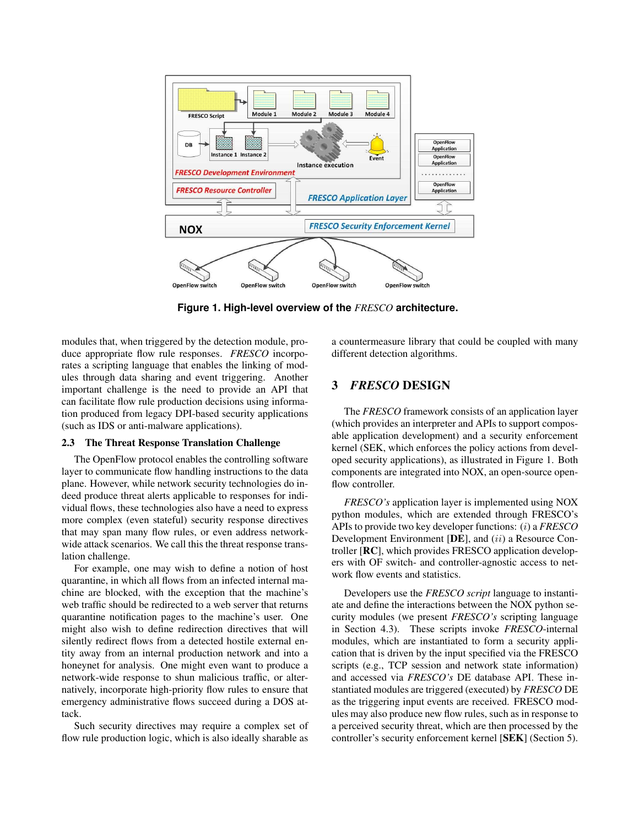

**Figure 1. High-level overview of the** *FRESCO* **architecture.**

modules that, when triggered by the detection module, produce appropriate flow rule responses. *FRESCO* incorporates a scripting language that enables the linking of modules through data sharing and event triggering. Another important challenge is the need to provide an API that can facilitate flow rule production decisions using information produced from legacy DPI-based security applications (such as IDS or anti-malware applications).

#### 2.3 The Threat Response Translation Challenge

The OpenFlow protocol enables the controlling software layer to communicate flow handling instructions to the data plane. However, while network security technologies do indeed produce threat alerts applicable to responses for individual flows, these technologies also have a need to express more complex (even stateful) security response directives that may span many flow rules, or even address networkwide attack scenarios. We call this the threat response translation challenge.

For example, one may wish to define a notion of host quarantine, in which all flows from an infected internal machine are blocked, with the exception that the machine's web traffic should be redirected to a web server that returns quarantine notification pages to the machine's user. One might also wish to define redirection directives that will silently redirect flows from a detected hostile external entity away from an internal production network and into a honeynet for analysis. One might even want to produce a network-wide response to shun malicious traffic, or alternatively, incorporate high-priority flow rules to ensure that emergency administrative flows succeed during a DOS attack.

Such security directives may require a complex set of flow rule production logic, which is also ideally sharable as

a countermeasure library that could be coupled with many different detection algorithms.

## 3 *FRESCO* DESIGN

The *FRESCO* framework consists of an application layer (which provides an interpreter and APIs to support composable application development) and a security enforcement kernel (SEK, which enforces the policy actions from developed security applications), as illustrated in Figure 1. Both components are integrated into NOX, an open-source openflow controller.

*FRESCO's* application layer is implemented using NOX python modules, which are extended through FRESCO's APIs to provide two key developer functions: (i) a *FRESCO* Development Environment [DE], and (ii) a Resource Controller [RC], which provides FRESCO application developers with OF switch- and controller-agnostic access to network flow events and statistics.

Developers use the *FRESCO script* language to instantiate and define the interactions between the NOX python security modules (we present *FRESCO's* scripting language in Section 4.3). These scripts invoke *FRESCO*-internal modules, which are instantiated to form a security application that is driven by the input specified via the FRESCO scripts (e.g., TCP session and network state information) and accessed via *FRESCO's* DE database API. These instantiated modules are triggered (executed) by *FRESCO* DE as the triggering input events are received. FRESCO modules may also produce new flow rules, such as in response to a perceived security threat, which are then processed by the controller's security enforcement kernel [SEK] (Section 5).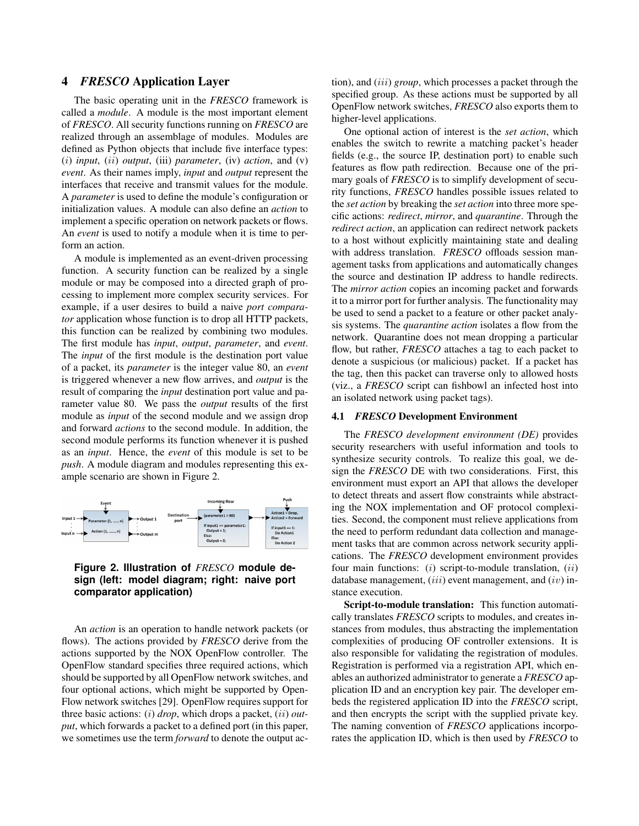### 4 *FRESCO* Application Layer

The basic operating unit in the *FRESCO* framework is called a *module*. A module is the most important element of *FRESCO*. All security functions running on *FRESCO* are realized through an assemblage of modules. Modules are defined as Python objects that include five interface types: (i) *input*, (ii) *output*, (iii) *parameter*, (iv) *action*, and (v) *event*. As their names imply, *input* and *output* represent the interfaces that receive and transmit values for the module. A *parameter* is used to define the module's configuration or initialization values. A module can also define an *action* to implement a specific operation on network packets or flows. An *event* is used to notify a module when it is time to perform an action.

A module is implemented as an event-driven processing function. A security function can be realized by a single module or may be composed into a directed graph of processing to implement more complex security services. For example, if a user desires to build a naive *port comparator* application whose function is to drop all HTTP packets, this function can be realized by combining two modules. The first module has *input*, *output*, *parameter*, and *event*. The *input* of the first module is the destination port value of a packet, its *parameter* is the integer value 80, an *event* is triggered whenever a new flow arrives, and *output* is the result of comparing the *input* destination port value and parameter value 80. We pass the *output* results of the first module as *input* of the second module and we assign drop and forward *actions* to the second module. In addition, the second module performs its function whenever it is pushed as an *input*. Hence, the *event* of this module is set to be *push*. A module diagram and modules representing this example scenario are shown in Figure 2.



### **Figure 2. Illustration of** *FRESCO* **module design (left: model diagram; right: naive port comparator application)**

An *action* is an operation to handle network packets (or flows). The actions provided by *FRESCO* derive from the actions supported by the NOX OpenFlow controller. The OpenFlow standard specifies three required actions, which should be supported by all OpenFlow network switches, and four optional actions, which might be supported by Open-Flow network switches [29]. OpenFlow requires support for three basic actions: (i) *drop*, which drops a packet, (ii) *output*, which forwards a packet to a defined port (in this paper, we sometimes use the term *forward* to denote the output action), and (iii) *group*, which processes a packet through the specified group. As these actions must be supported by all OpenFlow network switches, *FRESCO* also exports them to higher-level applications.

One optional action of interest is the *set action*, which enables the switch to rewrite a matching packet's header fields (e.g., the source IP, destination port) to enable such features as flow path redirection. Because one of the primary goals of *FRESCO* is to simplify development of security functions, *FRESCO* handles possible issues related to the *set action* by breaking the *set action* into three more specific actions: *redirect*, *mirror*, and *quarantine*. Through the *redirect action*, an application can redirect network packets to a host without explicitly maintaining state and dealing with address translation. *FRESCO* offloads session management tasks from applications and automatically changes the source and destination IP address to handle redirects. The *mirror action* copies an incoming packet and forwards it to a mirror port for further analysis. The functionality may be used to send a packet to a feature or other packet analysis systems. The *quarantine action* isolates a flow from the network. Quarantine does not mean dropping a particular flow, but rather, *FRESCO* attaches a tag to each packet to denote a suspicious (or malicious) packet. If a packet has the tag, then this packet can traverse only to allowed hosts (viz., a *FRESCO* script can fishbowl an infected host into an isolated network using packet tags).

### 4.1 *FRESCO* Development Environment

The *FRESCO development environment (DE)* provides security researchers with useful information and tools to synthesize security controls. To realize this goal, we design the *FRESCO* DE with two considerations. First, this environment must export an API that allows the developer to detect threats and assert flow constraints while abstracting the NOX implementation and OF protocol complexities. Second, the component must relieve applications from the need to perform redundant data collection and management tasks that are common across network security applications. The *FRESCO* development environment provides four main functions:  $(i)$  script-to-module translation,  $(ii)$ database management,  $(iii)$  event management, and  $(iv)$  instance execution.

Script-to-module translation: This function automatically translates *FRESCO* scripts to modules, and creates instances from modules, thus abstracting the implementation complexities of producing OF controller extensions. It is also responsible for validating the registration of modules. Registration is performed via a registration API, which enables an authorized administrator to generate a *FRESCO* application ID and an encryption key pair. The developer embeds the registered application ID into the *FRESCO* script, and then encrypts the script with the supplied private key. The naming convention of *FRESCO* applications incorporates the application ID, which is then used by *FRESCO* to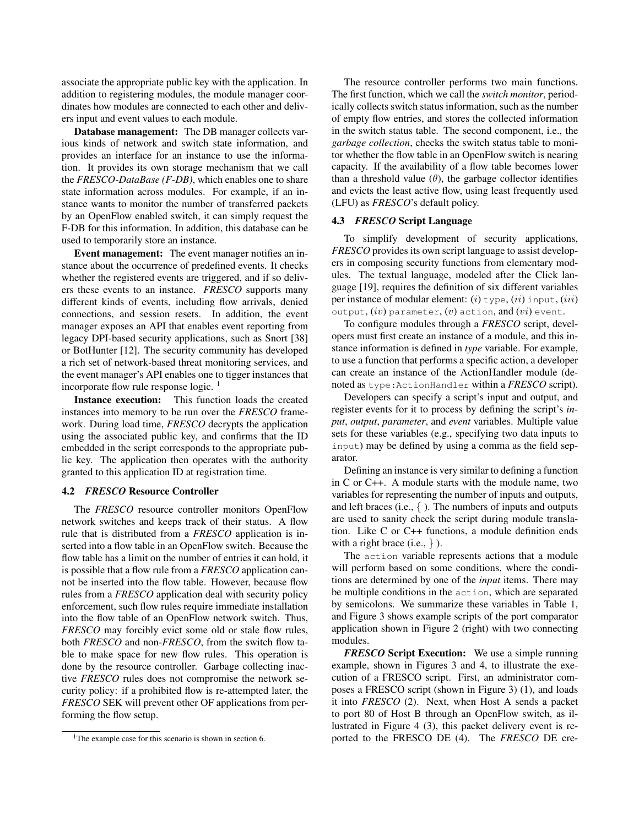associate the appropriate public key with the application. In addition to registering modules, the module manager coordinates how modules are connected to each other and delivers input and event values to each module.

Database management: The DB manager collects various kinds of network and switch state information, and provides an interface for an instance to use the information. It provides its own storage mechanism that we call the *FRESCO-DataBase (F-DB)*, which enables one to share state information across modules. For example, if an instance wants to monitor the number of transferred packets by an OpenFlow enabled switch, it can simply request the F-DB for this information. In addition, this database can be used to temporarily store an instance.

Event management: The event manager notifies an instance about the occurrence of predefined events. It checks whether the registered events are triggered, and if so delivers these events to an instance. *FRESCO* supports many different kinds of events, including flow arrivals, denied connections, and session resets. In addition, the event manager exposes an API that enables event reporting from legacy DPI-based security applications, such as Snort [38] or BotHunter [12]. The security community has developed a rich set of network-based threat monitoring services, and the event manager's API enables one to tigger instances that incorporate flow rule response logic.  $<sup>1</sup>$ </sup>

Instance execution: This function loads the created instances into memory to be run over the *FRESCO* framework. During load time, *FRESCO* decrypts the application using the associated public key, and confirms that the ID embedded in the script corresponds to the appropriate public key. The application then operates with the authority granted to this application ID at registration time.

#### 4.2 *FRESCO* Resource Controller

The *FRESCO* resource controller monitors OpenFlow network switches and keeps track of their status. A flow rule that is distributed from a *FRESCO* application is inserted into a flow table in an OpenFlow switch. Because the flow table has a limit on the number of entries it can hold, it is possible that a flow rule from a *FRESCO* application cannot be inserted into the flow table. However, because flow rules from a *FRESCO* application deal with security policy enforcement, such flow rules require immediate installation into the flow table of an OpenFlow network switch. Thus, *FRESCO* may forcibly evict some old or stale flow rules, both *FRESCO* and non-*FRESCO*, from the switch flow table to make space for new flow rules. This operation is done by the resource controller. Garbage collecting inactive *FRESCO* rules does not compromise the network security policy: if a prohibited flow is re-attempted later, the *FRESCO* SEK will prevent other OF applications from performing the flow setup.

The resource controller performs two main functions. The first function, which we call the *switch monitor*, periodically collects switch status information, such as the number of empty flow entries, and stores the collected information in the switch status table. The second component, i.e., the *garbage collection*, checks the switch status table to monitor whether the flow table in an OpenFlow switch is nearing capacity. If the availability of a flow table becomes lower than a threshold value  $(\theta)$ , the garbage collector identifies and evicts the least active flow, using least frequently used (LFU) as *FRESCO*'s default policy.

#### 4.3 *FRESCO* Script Language

To simplify development of security applications, *FRESCO* provides its own script language to assist developers in composing security functions from elementary modules. The textual language, modeled after the Click language [19], requires the definition of six different variables per instance of modular element:  $(i)$  type,  $(ii)$  input,  $(iii)$ output,  $(iv)$  parameter,  $(v)$  action, and  $(vi)$  event.

To configure modules through a *FRESCO* script, developers must first create an instance of a module, and this instance information is defined in *type* variable. For example, to use a function that performs a specific action, a developer can create an instance of the ActionHandler module (denoted as type:ActionHandler within a *FRESCO* script).

Developers can specify a script's input and output, and register events for it to process by defining the script's *input*, *output*, *parameter*, and *event* variables. Multiple value sets for these variables (e.g., specifying two data inputs to input) may be defined by using a comma as the field separator.

Defining an instance is very similar to defining a function in C or C++. A module starts with the module name, two variables for representing the number of inputs and outputs, and left braces (i.e.,  $\{$  ). The numbers of inputs and outputs are used to sanity check the script during module translation. Like C or C++ functions, a module definition ends with a right brace  $(i.e., \}$ ).

The action variable represents actions that a module will perform based on some conditions, where the conditions are determined by one of the *input* items. There may be multiple conditions in the action, which are separated by semicolons. We summarize these variables in Table 1, and Figure 3 shows example scripts of the port comparator application shown in Figure 2 (right) with two connecting modules.

*FRESCO* Script Execution: We use a simple running example, shown in Figures 3 and 4, to illustrate the execution of a FRESCO script. First, an administrator composes a FRESCO script (shown in Figure 3) (1), and loads it into *FRESCO* (2). Next, when Host A sends a packet to port 80 of Host B through an OpenFlow switch, as illustrated in Figure 4 (3), this packet delivery event is reported to the FRESCO DE (4). The *FRESCO* DE cre-

<sup>&</sup>lt;sup>1</sup>The example case for this scenario is shown in section 6.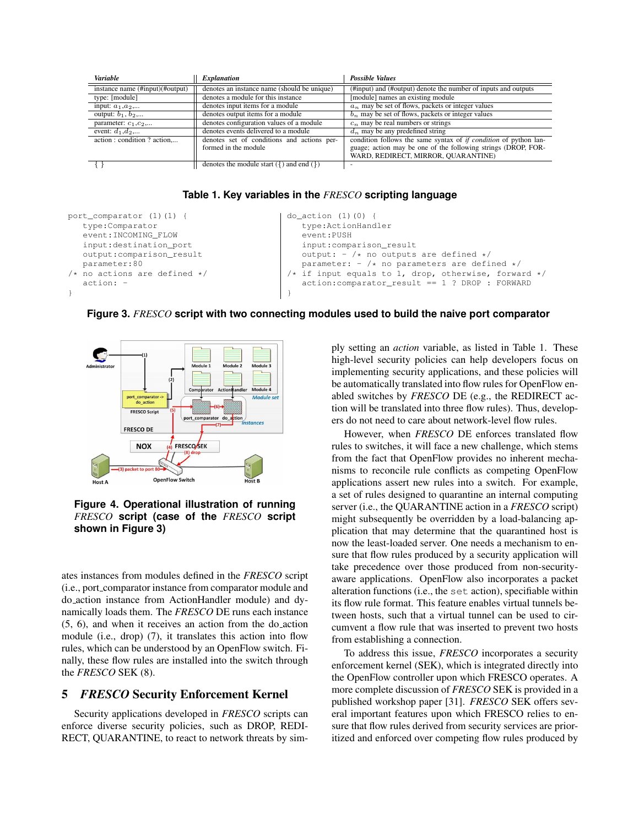| <b>Variable</b>                 | <i>Explanation</i>                                 | <b>Possible Values</b>                                                  |  |  |
|---------------------------------|----------------------------------------------------|-------------------------------------------------------------------------|--|--|
| instance name (#input)(#output) | denotes an instance name (should be unique)        | (#input) and (#output) denote the number of inputs and outputs          |  |  |
| type: [module]                  | denotes a module for this instance                 | [module] names an existing module                                       |  |  |
| input: $a_1, a_2,$              | denotes input items for a module                   | $a_n$ may be set of flows, packets or integer values                    |  |  |
| output: $b_1, b_2,$             | denotes output items for a module                  | $b_n$ may be set of flows, packets or integer values                    |  |  |
| parameter: $c_1$ , $c_2$ ,      | denotes configuration values of a module           | $c_n$ may be real numbers or strings                                    |  |  |
| event: $d_1, d_2,$              | denotes events delivered to a module               | $d_n$ may be any predefined string                                      |  |  |
| action : condition ? action     | denotes set of conditions and actions per-         | condition follows the same syntax of <i>if condition</i> of python lan- |  |  |
|                                 | formed in the module                               | guage; action may be one of the following strings (DROP, FOR-           |  |  |
|                                 |                                                    | WARD, REDIRECT, MIRROR, QUARANTINE)                                     |  |  |
|                                 | denotes the module start ( $\{$ ) and end ( $\}$ ) |                                                                         |  |  |

**Table 1. Key variables in the** *FRESCO* **scripting language**

```
port_comparator (1)(1) {
   type:Comparator
   event:INCOMING_FLOW
   input:destination_port
   output:comparison_result
   parameter:80
/* no actions are defined */
   action: -
}
                                             do_action (1)(0) {
                                                type:ActionHandler
                                                event:PUSH
                                                input:comparison_result
                                                output: - /* no outputs are defined */parameter: - /* no parameters are defined */
                                             /* if input equals to 1, drop, otherwise, forward */
                                                action:comparator_result == 1 ? DROP : FORWARD
                                             }
```
**Figure 3.** *FRESCO* **script with two connecting modules used to build the naive port comparator**



**Figure 4. Operational illustration of running** *FRESCO* **script (case of the** *FRESCO* **script shown in Figure 3)**

ates instances from modules defined in the *FRESCO* script (i.e., port comparator instance from comparator module and do action instance from ActionHandler module) and dynamically loads them. The *FRESCO* DE runs each instance (5, 6), and when it receives an action from the do action module (i.e., drop) (7), it translates this action into flow rules, which can be understood by an OpenFlow switch. Finally, these flow rules are installed into the switch through the *FRESCO* SEK (8).

# 5 *FRESCO* Security Enforcement Kernel

Security applications developed in *FRESCO* scripts can enforce diverse security policies, such as DROP, REDI-RECT, QUARANTINE, to react to network threats by simply setting an *action* variable, as listed in Table 1. These high-level security policies can help developers focus on implementing security applications, and these policies will be automatically translated into flow rules for OpenFlow enabled switches by *FRESCO* DE (e.g., the REDIRECT action will be translated into three flow rules). Thus, developers do not need to care about network-level flow rules.

However, when *FRESCO* DE enforces translated flow rules to switches, it will face a new challenge, which stems from the fact that OpenFlow provides no inherent mechanisms to reconcile rule conflicts as competing OpenFlow applications assert new rules into a switch. For example, a set of rules designed to quarantine an internal computing server (i.e., the QUARANTINE action in a *FRESCO* script) might subsequently be overridden by a load-balancing application that may determine that the quarantined host is now the least-loaded server. One needs a mechanism to ensure that flow rules produced by a security application will take precedence over those produced from non-securityaware applications. OpenFlow also incorporates a packet alteration functions (i.e., the set action), specifiable within its flow rule format. This feature enables virtual tunnels between hosts, such that a virtual tunnel can be used to circumvent a flow rule that was inserted to prevent two hosts from establishing a connection.

To address this issue, *FRESCO* incorporates a security enforcement kernel (SEK), which is integrated directly into the OpenFlow controller upon which FRESCO operates. A more complete discussion of *FRESCO* SEK is provided in a published workshop paper [31]. *FRESCO* SEK offers several important features upon which FRESCO relies to ensure that flow rules derived from security services are prioritized and enforced over competing flow rules produced by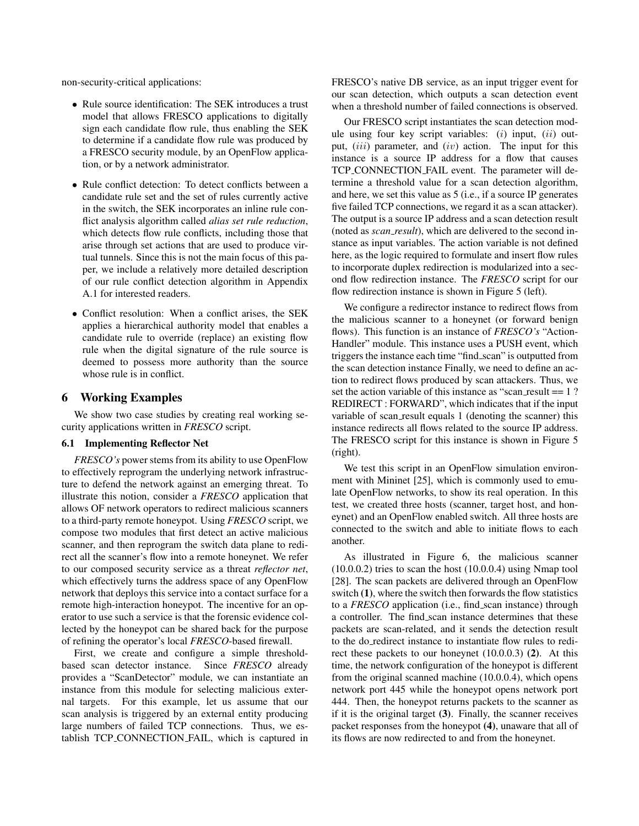non-security-critical applications:

- Rule source identification: The SEK introduces a trust model that allows FRESCO applications to digitally sign each candidate flow rule, thus enabling the SEK to determine if a candidate flow rule was produced by a FRESCO security module, by an OpenFlow application, or by a network administrator.
- Rule conflict detection: To detect conflicts between a candidate rule set and the set of rules currently active in the switch, the SEK incorporates an inline rule conflict analysis algorithm called *alias set rule reduction*, which detects flow rule conflicts, including those that arise through set actions that are used to produce virtual tunnels. Since this is not the main focus of this paper, we include a relatively more detailed description of our rule conflict detection algorithm in Appendix A.1 for interested readers.
- Conflict resolution: When a conflict arises, the SEK applies a hierarchical authority model that enables a candidate rule to override (replace) an existing flow rule when the digital signature of the rule source is deemed to possess more authority than the source whose rule is in conflict.

#### 6 Working Examples

We show two case studies by creating real working security applications written in *FRESCO* script.

#### 6.1 Implementing Reflector Net

*FRESCO's* power stems from its ability to use OpenFlow to effectively reprogram the underlying network infrastructure to defend the network against an emerging threat. To illustrate this notion, consider a *FRESCO* application that allows OF network operators to redirect malicious scanners to a third-party remote honeypot. Using *FRESCO* script, we compose two modules that first detect an active malicious scanner, and then reprogram the switch data plane to redirect all the scanner's flow into a remote honeynet. We refer to our composed security service as a threat *reflector net*, which effectively turns the address space of any OpenFlow network that deploys this service into a contact surface for a remote high-interaction honeypot. The incentive for an operator to use such a service is that the forensic evidence collected by the honeypot can be shared back for the purpose of refining the operator's local *FRESCO*-based firewall.

First, we create and configure a simple thresholdbased scan detector instance. Since *FRESCO* already provides a "ScanDetector" module, we can instantiate an instance from this module for selecting malicious external targets. For this example, let us assume that our scan analysis is triggered by an external entity producing large numbers of failed TCP connections. Thus, we establish TCP CONNECTION FAIL, which is captured in FRESCO's native DB service, as an input trigger event for our scan detection, which outputs a scan detection event when a threshold number of failed connections is observed.

Our FRESCO script instantiates the scan detection module using four key script variables:  $(i)$  input,  $(ii)$  output,  $(iii)$  parameter, and  $(iv)$  action. The input for this instance is a source IP address for a flow that causes TCP CONNECTION FAIL event. The parameter will determine a threshold value for a scan detection algorithm, and here, we set this value as 5 (i.e., if a source IP generates five failed TCP connections, we regard it as a scan attacker). The output is a source IP address and a scan detection result (noted as *scan result*), which are delivered to the second instance as input variables. The action variable is not defined here, as the logic required to formulate and insert flow rules to incorporate duplex redirection is modularized into a second flow redirection instance. The *FRESCO* script for our flow redirection instance is shown in Figure 5 (left).

We configure a redirector instance to redirect flows from the malicious scanner to a honeynet (or forward benign flows). This function is an instance of *FRESCO's* "Action-Handler" module. This instance uses a PUSH event, which triggers the instance each time "find scan" is outputted from the scan detection instance Finally, we need to define an action to redirect flows produced by scan attackers. Thus, we set the action variable of this instance as "scan\_result  $=$  1 ? REDIRECT : FORWARD", which indicates that if the input variable of scan\_result equals 1 (denoting the scanner) this instance redirects all flows related to the source IP address. The FRESCO script for this instance is shown in Figure 5 (right).

We test this script in an OpenFlow simulation environment with Mininet [25], which is commonly used to emulate OpenFlow networks, to show its real operation. In this test, we created three hosts (scanner, target host, and honeynet) and an OpenFlow enabled switch. All three hosts are connected to the switch and able to initiate flows to each another.

As illustrated in Figure 6, the malicious scanner (10.0.0.2) tries to scan the host (10.0.0.4) using Nmap tool [28]. The scan packets are delivered through an OpenFlow switch (1), where the switch then forwards the flow statistics to a *FRESCO* application (i.e., find scan instance) through a controller. The find scan instance determines that these packets are scan-related, and it sends the detection result to the do redirect instance to instantiate flow rules to redirect these packets to our honeynet (10.0.0.3) (2). At this time, the network configuration of the honeypot is different from the original scanned machine (10.0.0.4), which opens network port 445 while the honeypot opens network port 444. Then, the honeypot returns packets to the scanner as if it is the original target (3). Finally, the scanner receives packet responses from the honeypot (4), unaware that all of its flows are now redirected to and from the honeynet.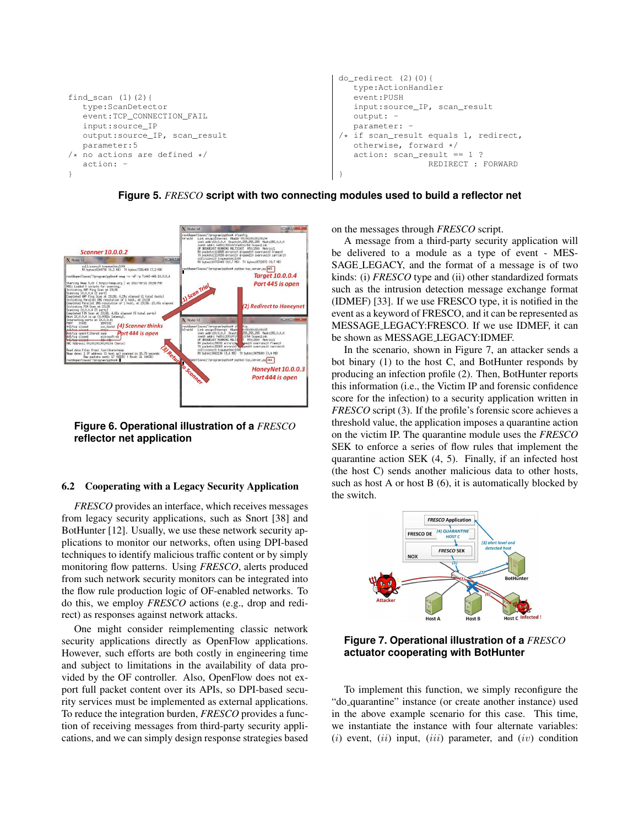```
find scan (1)(2) {
   type:ScanDetector
   event:TCP_CONNECTION_FAIL
   input:source_IP
   output:source_IP, scan_result
  parameter:5
/* no actions are defined */action: -
}
                                                        do_redirect (2)(0){
                                                           type:ActionHandler
                                                           event:PUSH
                                                           input:source_IP, scan_result
                                                           output: -
                                                           parameter: -
                                                        /* if scan result equals 1, redirect,
                                                           otherwise, forward */
                                                           action: scan_result == 1 ?
                                                                          REDIRECT : FORWARD
                                                        }
```


**Figure 5.** *FRESCO* **script with two connecting modules used to build a reflector net**

**Figure 6. Operational illustration of a** *FRESCO* **reflector net application**

### 6.2 Cooperating with a Legacy Security Application

*FRESCO* provides an interface, which receives messages from legacy security applications, such as Snort [38] and BotHunter [12]. Usually, we use these network security applications to monitor our networks, often using DPI-based techniques to identify malicious traffic content or by simply monitoring flow patterns. Using *FRESCO*, alerts produced from such network security monitors can be integrated into the flow rule production logic of OF-enabled networks. To do this, we employ *FRESCO* actions (e.g., drop and redirect) as responses against network attacks.

One might consider reimplementing classic network security applications directly as OpenFlow applications. However, such efforts are both costly in engineering time and subject to limitations in the availability of data provided by the OF controller. Also, OpenFlow does not export full packet content over its APIs, so DPI-based security services must be implemented as external applications. To reduce the integration burden, *FRESCO* provides a function of receiving messages from third-party security applications, and we can simply design response strategies based on the messages through *FRESCO* script.

A message from a third-party security application will be delivered to a module as a type of event - MES-SAGE LEGACY, and the format of a message is of two kinds: (i) *FRESCO* type and (ii) other standardized formats such as the intrusion detection message exchange format (IDMEF) [33]. If we use FRESCO type, it is notified in the event as a keyword of FRESCO, and it can be represented as MESSAGE LEGACY:FRESCO. If we use IDMEF, it can be shown as MESSAGE LEGACY:IDMEF.

In the scenario, shown in Figure 7, an attacker sends a bot binary (1) to the host C, and BotHunter responds by producing an infection profile (2). Then, BotHunter reports this information (i.e., the Victim IP and forensic confidence score for the infection) to a security application written in *FRESCO* script (3). If the profile's forensic score achieves a threshold value, the application imposes a quarantine action on the victim IP. The quarantine module uses the *FRESCO* SEK to enforce a series of flow rules that implement the quarantine action SEK (4, 5). Finally, if an infected host (the host C) sends another malicious data to other hosts, such as host A or host B (6), it is automatically blocked by the switch.



**Figure 7. Operational illustration of a** *FRESCO* **actuator cooperating with BotHunter**

To implement this function, we simply reconfigure the "do quarantine" instance (or create another instance) used in the above example scenario for this case. This time, we instantiate the instance with four alternate variables:  $(i)$  event,  $(ii)$  input,  $(iii)$  parameter, and  $(iv)$  condition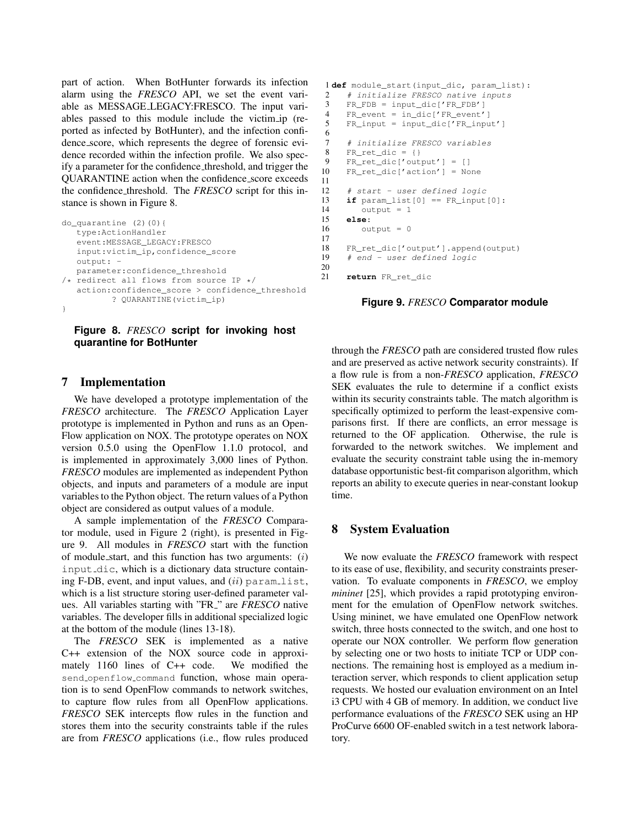part of action. When BotHunter forwards its infection alarm using the *FRESCO* API, we set the event variable as MESSAGE LEGACY:FRESCO. The input variables passed to this module include the victim ip (reported as infected by BotHunter), and the infection confidence score, which represents the degree of forensic evidence recorded within the infection profile. We also specify a parameter for the confidence threshold, and trigger the QUARANTINE action when the confidence score exceeds the confidence threshold. The *FRESCO* script for this instance is shown in Figure 8.

```
do_quarantine (2)(0){
  type:ActionHandler
   event:MESSAGE_LEGACY:FRESCO
  input:victim_ip,confidence_score
  outout: -parameter:confidence_threshold
/* redirect all flows from source IP */
  action:confidence_score > confidence_threshold
         ? QUARANTINE(victim_ip)
}
```
#### **Figure 8.** *FRESCO* **script for invoking host quarantine for BotHunter**

### 7 Implementation

We have developed a prototype implementation of the *FRESCO* architecture. The *FRESCO* Application Layer prototype is implemented in Python and runs as an Open-Flow application on NOX. The prototype operates on NOX version 0.5.0 using the OpenFlow 1.1.0 protocol, and is implemented in approximately 3,000 lines of Python. *FRESCO* modules are implemented as independent Python objects, and inputs and parameters of a module are input variables to the Python object. The return values of a Python object are considered as output values of a module.

A sample implementation of the *FRESCO* Comparator module, used in Figure 2 (right), is presented in Figure 9. All modules in *FRESCO* start with the function of module\_start, and this function has two arguments:  $(i)$ input dic, which is a dictionary data structure containing F-DB, event, and input values, and  $(ii)$  param list, which is a list structure storing user-defined parameter values. All variables starting with "FR " are *FRESCO* native variables. The developer fills in additional specialized logic at the bottom of the module (lines 13-18).

The *FRESCO* SEK is implemented as a native C++ extension of the NOX source code in approximately 1160 lines of C++ code. We modified the send openflow command function, whose main operation is to send OpenFlow commands to network switches, to capture flow rules from all OpenFlow applications. *FRESCO* SEK intercepts flow rules in the function and stores them into the security constraints table if the rules are from *FRESCO* applications (i.e., flow rules produced

```
1 def module_start(input_dic, param_list):
2 # initialize FRESCO native inputs
3 FR_FDB = input_dic['FR_FDB']
4 FR_event = in_dic['FR_event']
 5 FR_input = input_dic['FR_input']
 6
7 # initialize FRESCO variables
 8 FR_ret_dic = {}
9 FR_ret_dic['output'] = []<br>10 FR ret dic['action'] = No
     10 FR_ret_dic['action'] = None
11
12 # start - user defined logic
13 if param_list[0] == FR_input[0]:
14 output = 1
15 else:
        output = 017
18 FR_ret_dic['output'].append(output)
19 # end - user defined logic
\frac{20}{21}21 return FR_ret_dic
```
**Figure 9.** *FRESCO* **Comparator module**

through the *FRESCO* path are considered trusted flow rules and are preserved as active network security constraints). If a flow rule is from a non-*FRESCO* application, *FRESCO* SEK evaluates the rule to determine if a conflict exists within its security constraints table. The match algorithm is specifically optimized to perform the least-expensive comparisons first. If there are conflicts, an error message is returned to the OF application. Otherwise, the rule is forwarded to the network switches. We implement and evaluate the security constraint table using the in-memory database opportunistic best-fit comparison algorithm, which reports an ability to execute queries in near-constant lookup time.

### 8 System Evaluation

We now evaluate the *FRESCO* framework with respect to its ease of use, flexibility, and security constraints preservation. To evaluate components in *FRESCO*, we employ *mininet* [25], which provides a rapid prototyping environment for the emulation of OpenFlow network switches. Using mininet, we have emulated one OpenFlow network switch, three hosts connected to the switch, and one host to operate our NOX controller. We perform flow generation by selecting one or two hosts to initiate TCP or UDP connections. The remaining host is employed as a medium interaction server, which responds to client application setup requests. We hosted our evaluation environment on an Intel i3 CPU with 4 GB of memory. In addition, we conduct live performance evaluations of the *FRESCO* SEK using an HP ProCurve 6600 OF-enabled switch in a test network laboratory.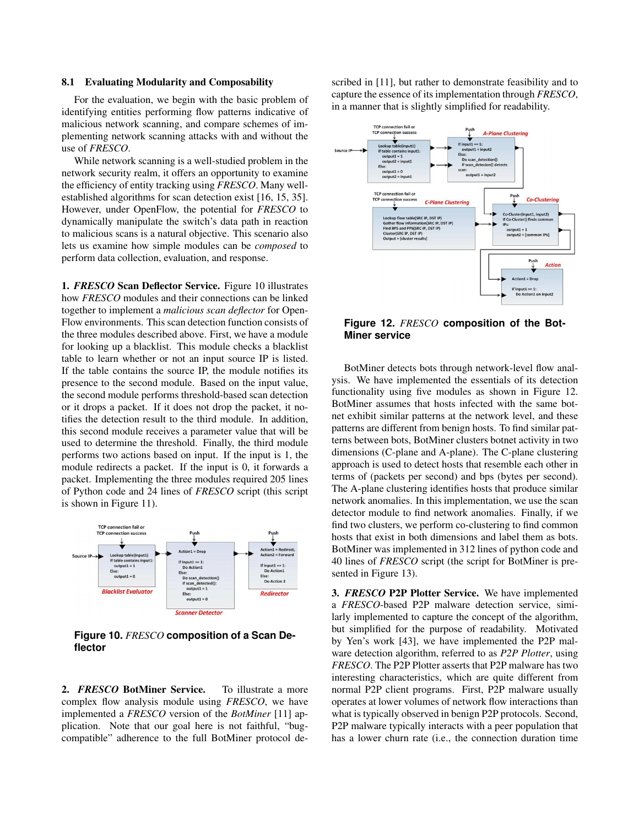#### 8.1 Evaluating Modularity and Composability

For the evaluation, we begin with the basic problem of identifying entities performing flow patterns indicative of malicious network scanning, and compare schemes of implementing network scanning attacks with and without the use of *FRESCO*.

While network scanning is a well-studied problem in the network security realm, it offers an opportunity to examine the efficiency of entity tracking using *FRESCO*. Many wellestablished algorithms for scan detection exist [16, 15, 35]. However, under OpenFlow, the potential for *FRESCO* to dynamically manipulate the switch's data path in reaction to malicious scans is a natural objective. This scenario also lets us examine how simple modules can be *composed* to perform data collection, evaluation, and response.

1. *FRESCO* Scan Deflector Service. Figure 10 illustrates how *FRESCO* modules and their connections can be linked together to implement a *malicious scan deflector* for Open-Flow environments. This scan detection function consists of the three modules described above. First, we have a module for looking up a blacklist. This module checks a blacklist table to learn whether or not an input source IP is listed. If the table contains the source IP, the module notifies its presence to the second module. Based on the input value, the second module performs threshold-based scan detection or it drops a packet. If it does not drop the packet, it notifies the detection result to the third module. In addition, this second module receives a parameter value that will be used to determine the threshold. Finally, the third module performs two actions based on input. If the input is 1, the module redirects a packet. If the input is 0, it forwards a packet. Implementing the three modules required 205 lines of Python code and 24 lines of *FRESCO* script (this script is shown in Figure 11).



**Figure 10.** *FRESCO* **composition of a Scan Deflector**

2. *FRESCO* BotMiner Service. To illustrate a more complex flow analysis module using *FRESCO*, we have implemented a *FRESCO* version of the *BotMiner* [11] application. Note that our goal here is not faithful, "bugcompatible" adherence to the full BotMiner protocol de-

scribed in [11], but rather to demonstrate feasibility and to capture the essence of its implementation through *FRESCO*, in a manner that is slightly simplified for readability.



**Figure 12.** *FRESCO* **composition of the Bot-Miner service**

BotMiner detects bots through network-level flow analysis. We have implemented the essentials of its detection functionality using five modules as shown in Figure 12. BotMiner assumes that hosts infected with the same botnet exhibit similar patterns at the network level, and these patterns are different from benign hosts. To find similar patterns between bots, BotMiner clusters botnet activity in two dimensions (C-plane and A-plane). The C-plane clustering approach is used to detect hosts that resemble each other in terms of (packets per second) and bps (bytes per second). The A-plane clustering identifies hosts that produce similar network anomalies. In this implementation, we use the scan detector module to find network anomalies. Finally, if we find two clusters, we perform co-clustering to find common hosts that exist in both dimensions and label them as bots. BotMiner was implemented in 312 lines of python code and 40 lines of *FRESCO* script (the script for BotMiner is presented in Figure 13).

3. *FRESCO* P2P Plotter Service. We have implemented a *FRESCO*-based P2P malware detection service, similarly implemented to capture the concept of the algorithm, but simplified for the purpose of readability. Motivated by Yen's work [43], we have implemented the P2P malware detection algorithm, referred to as *P2P Plotter*, using *FRESCO*. The P2P Plotter asserts that P2P malware has two interesting characteristics, which are quite different from normal P2P client programs. First, P2P malware usually operates at lower volumes of network flow interactions than what is typically observed in benign P2P protocols. Second, P2P malware typically interacts with a peer population that has a lower churn rate (i.e., the connection duration time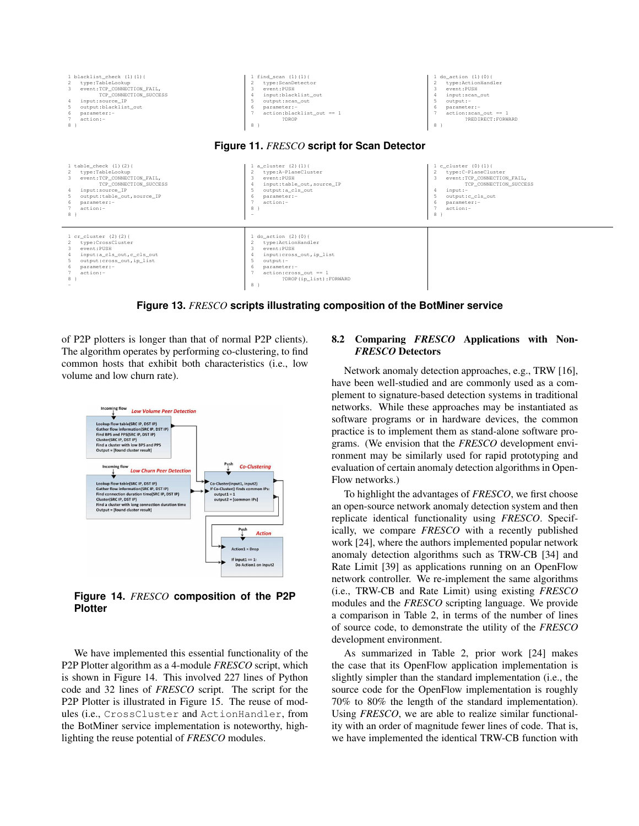

**Figure 13.** *FRESCO* **scripts illustrating composition of the BotMiner service**

of P2P plotters is longer than that of normal P2P clients). The algorithm operates by performing co-clustering, to find common hosts that exhibit both characteristics (i.e., low volume and low churn rate).



**Figure 14.** *FRESCO* **composition of the P2P Plotter**

We have implemented this essential functionality of the P2P Plotter algorithm as a 4-module *FRESCO* script, which is shown in Figure 14. This involved 227 lines of Python code and 32 lines of *FRESCO* script. The script for the P2P Plotter is illustrated in Figure 15. The reuse of modules (i.e., CrossCluster and ActionHandler, from the BotMiner service implementation is noteworthy, highlighting the reuse potential of *FRESCO* modules.

### 8.2 Comparing *FRESCO* Applications with Non-*FRESCO* Detectors

Network anomaly detection approaches, e.g., TRW [16], have been well-studied and are commonly used as a complement to signature-based detection systems in traditional networks. While these approaches may be instantiated as software programs or in hardware devices, the common practice is to implement them as stand-alone software programs. (We envision that the *FRESCO* development environment may be similarly used for rapid prototyping and evaluation of certain anomaly detection algorithms in Open-Flow networks.)

To highlight the advantages of *FRESCO*, we first choose an open-source network anomaly detection system and then replicate identical functionality using *FRESCO*. Specifically, we compare *FRESCO* with a recently published work [24], where the authors implemented popular network anomaly detection algorithms such as TRW-CB [34] and Rate Limit [39] as applications running on an OpenFlow network controller. We re-implement the same algorithms (i.e., TRW-CB and Rate Limit) using existing *FRESCO* modules and the *FRESCO* scripting language. We provide a comparison in Table 2, in terms of the number of lines of source code, to demonstrate the utility of the *FRESCO* development environment.

As summarized in Table 2, prior work [24] makes the case that its OpenFlow application implementation is slightly simpler than the standard implementation (i.e., the source code for the OpenFlow implementation is roughly 70% to 80% the length of the standard implementation). Using *FRESCO*, we are able to realize similar functionality with an order of magnitude fewer lines of code. That is, we have implemented the identical TRW-CB function with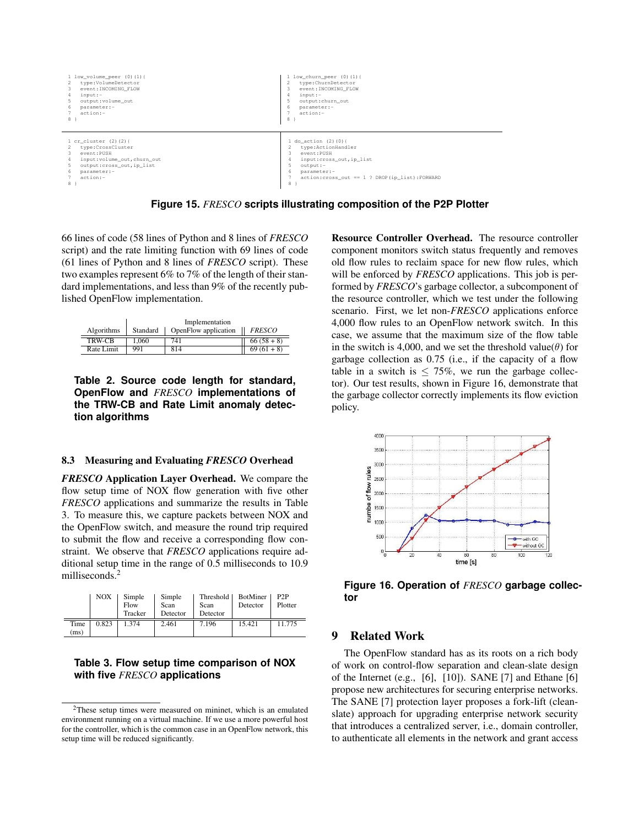

**Figure 15.** *FRESCO* **scripts illustrating composition of the P2P Plotter**

66 lines of code (58 lines of Python and 8 lines of *FRESCO* script) and the rate limiting function with 69 lines of code (61 lines of Python and 8 lines of *FRESCO* script). These two examples represent 6% to 7% of the length of their standard implementations, and less than 9% of the recently published OpenFlow implementation.

|            | Implementation |                      |               |  |  |
|------------|----------------|----------------------|---------------|--|--|
| Algorithms | Standard       | OpenFlow application | <b>FRESCO</b> |  |  |
| TRW-CB     | 1.060          | 741                  | $66(58+8)$    |  |  |
| Rate Limit | 991            | 814                  | $69(61+8)$    |  |  |

**Table 2. Source code length for standard, OpenFlow and** *FRESCO* **implementations of the TRW-CB and Rate Limit anomaly detection algorithms**

#### 8.3 Measuring and Evaluating *FRESCO* Overhead

*FRESCO* Application Layer Overhead. We compare the flow setup time of NOX flow generation with five other *FRESCO* applications and summarize the results in Table 3. To measure this, we capture packets between NOX and the OpenFlow switch, and measure the round trip required to submit the flow and receive a corresponding flow constraint. We observe that *FRESCO* applications require additional setup time in the range of 0.5 milliseconds to 10.9 milliseconds.<sup>2</sup>

|              | NOX   | Simple<br>Flow<br>Tracker | Simple<br>Scan<br>Detector | <b>Threshold</b><br>Scan<br>Detector | <b>BotMiner</b><br>Detector | P?P<br>Plotter |
|--------------|-------|---------------------------|----------------------------|--------------------------------------|-----------------------------|----------------|
| Time<br>(ms) | 0.823 | 1.374                     | 2.461                      | 7.196                                | 15.421                      | 11.775         |

### **Table 3. Flow setup time comparison of NOX with five** *FRESCO* **applications**

Resource Controller Overhead. The resource controller component monitors switch status frequently and removes old flow rules to reclaim space for new flow rules, which will be enforced by *FRESCO* applications. This job is performed by *FRESCO*'s garbage collector, a subcomponent of the resource controller, which we test under the following scenario. First, we let non-*FRESCO* applications enforce 4,000 flow rules to an OpenFlow network switch. In this case, we assume that the maximum size of the flow table in the switch is 4,000, and we set the threshold value( $\theta$ ) for garbage collection as 0.75 (i.e., if the capacity of a flow table in a switch is  $\leq 75\%$ , we run the garbage collector). Our test results, shown in Figure 16, demonstrate that the garbage collector correctly implements its flow eviction policy.



**Figure 16. Operation of** *FRESCO* **garbage collector**

# 9 Related Work

The OpenFlow standard has as its roots on a rich body of work on control-flow separation and clean-slate design of the Internet (e.g., [6], [10]). SANE [7] and Ethane [6] propose new architectures for securing enterprise networks. The SANE [7] protection layer proposes a fork-lift (cleanslate) approach for upgrading enterprise network security that introduces a centralized server, i.e., domain controller, to authenticate all elements in the network and grant access

<sup>2</sup>These setup times were measured on mininet, which is an emulated environment running on a virtual machine. If we use a more powerful host for the controller, which is the common case in an OpenFlow network, this setup time will be reduced significantly.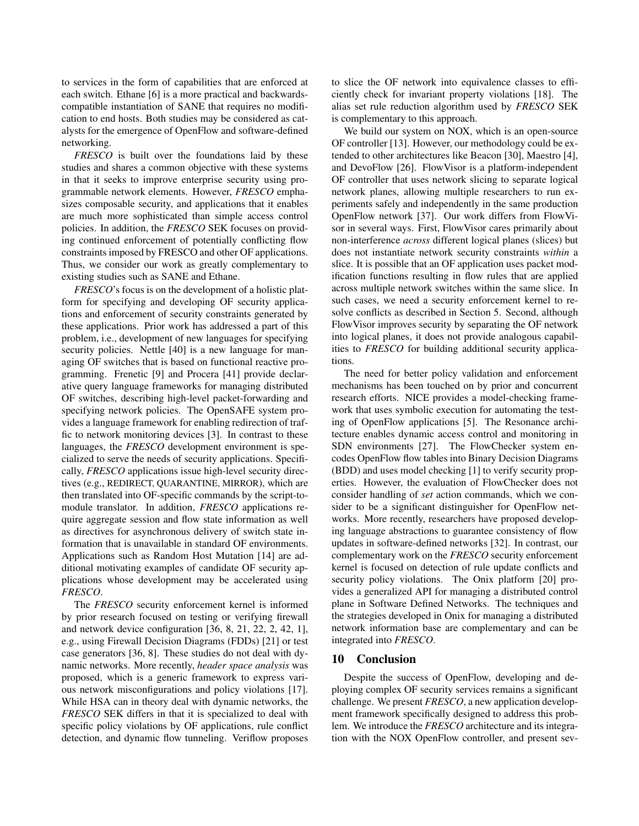to services in the form of capabilities that are enforced at each switch. Ethane [6] is a more practical and backwardscompatible instantiation of SANE that requires no modification to end hosts. Both studies may be considered as catalysts for the emergence of OpenFlow and software-defined networking.

*FRESCO* is built over the foundations laid by these studies and shares a common objective with these systems in that it seeks to improve enterprise security using programmable network elements. However, *FRESCO* emphasizes composable security, and applications that it enables are much more sophisticated than simple access control policies. In addition, the *FRESCO* SEK focuses on providing continued enforcement of potentially conflicting flow constraints imposed by FRESCO and other OF applications. Thus, we consider our work as greatly complementary to existing studies such as SANE and Ethane.

*FRESCO*'s focus is on the development of a holistic platform for specifying and developing OF security applications and enforcement of security constraints generated by these applications. Prior work has addressed a part of this problem, i.e., development of new languages for specifying security policies. Nettle [40] is a new language for managing OF switches that is based on functional reactive programming. Frenetic [9] and Procera [41] provide declarative query language frameworks for managing distributed OF switches, describing high-level packet-forwarding and specifying network policies. The OpenSAFE system provides a language framework for enabling redirection of traffic to network monitoring devices [3]. In contrast to these languages, the *FRESCO* development environment is specialized to serve the needs of security applications. Specifically, *FRESCO* applications issue high-level security directives (e.g., REDIRECT, QUARANTINE, MIRROR), which are then translated into OF-specific commands by the script-tomodule translator. In addition, *FRESCO* applications require aggregate session and flow state information as well as directives for asynchronous delivery of switch state information that is unavailable in standard OF environments. Applications such as Random Host Mutation [14] are additional motivating examples of candidate OF security applications whose development may be accelerated using *FRESCO*.

The *FRESCO* security enforcement kernel is informed by prior research focused on testing or verifying firewall and network device configuration [36, 8, 21, 22, 2, 42, 1], e.g., using Firewall Decision Diagrams (FDDs) [21] or test case generators [36, 8]. These studies do not deal with dynamic networks. More recently, *header space analysis* was proposed, which is a generic framework to express various network misconfigurations and policy violations [17]. While HSA can in theory deal with dynamic networks, the *FRESCO* SEK differs in that it is specialized to deal with specific policy violations by OF applications, rule conflict detection, and dynamic flow tunneling. Veriflow proposes

to slice the OF network into equivalence classes to efficiently check for invariant property violations [18]. The alias set rule reduction algorithm used by *FRESCO* SEK is complementary to this approach.

We build our system on NOX, which is an open-source OF controller [13]. However, our methodology could be extended to other architectures like Beacon [30], Maestro [4], and DevoFlow [26]. FlowVisor is a platform-independent OF controller that uses network slicing to separate logical network planes, allowing multiple researchers to run experiments safely and independently in the same production OpenFlow network [37]. Our work differs from FlowVisor in several ways. First, FlowVisor cares primarily about non-interference *across* different logical planes (slices) but does not instantiate network security constraints *within* a slice. It is possible that an OF application uses packet modification functions resulting in flow rules that are applied across multiple network switches within the same slice. In such cases, we need a security enforcement kernel to resolve conflicts as described in Section 5. Second, although FlowVisor improves security by separating the OF network into logical planes, it does not provide analogous capabilities to *FRESCO* for building additional security applications.

The need for better policy validation and enforcement mechanisms has been touched on by prior and concurrent research efforts. NICE provides a model-checking framework that uses symbolic execution for automating the testing of OpenFlow applications [5]. The Resonance architecture enables dynamic access control and monitoring in SDN environments [27]. The FlowChecker system encodes OpenFlow flow tables into Binary Decision Diagrams (BDD) and uses model checking [1] to verify security properties. However, the evaluation of FlowChecker does not consider handling of *set* action commands, which we consider to be a significant distinguisher for OpenFlow networks. More recently, researchers have proposed developing language abstractions to guarantee consistency of flow updates in software-defined networks [32]. In contrast, our complementary work on the *FRESCO* security enforcement kernel is focused on detection of rule update conflicts and security policy violations. The Onix platform [20] provides a generalized API for managing a distributed control plane in Software Defined Networks. The techniques and the strategies developed in Onix for managing a distributed network information base are complementary and can be integrated into *FRESCO*.

### 10 Conclusion

Despite the success of OpenFlow, developing and deploying complex OF security services remains a significant challenge. We present *FRESCO*, a new application development framework specifically designed to address this problem. We introduce the *FRESCO* architecture and its integration with the NOX OpenFlow controller, and present sev-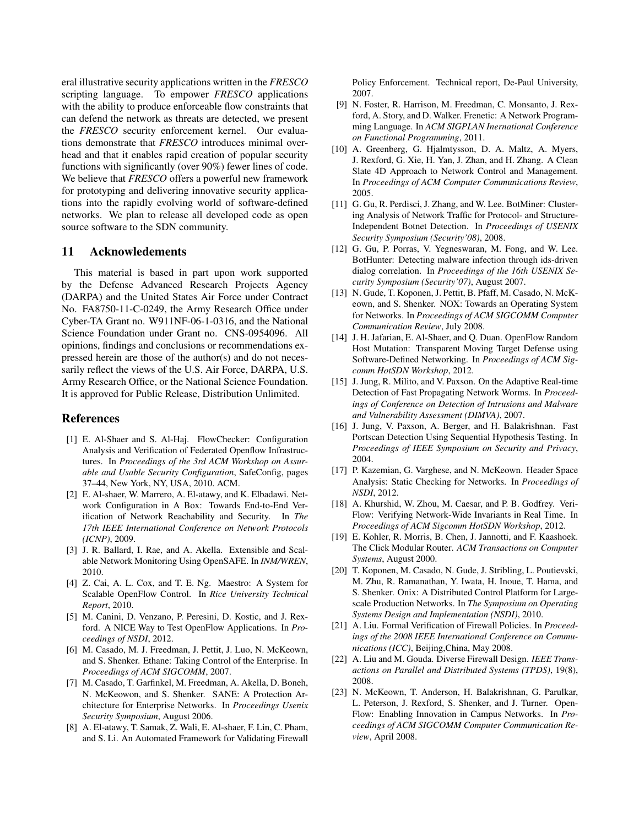eral illustrative security applications written in the *FRESCO* scripting language. To empower *FRESCO* applications with the ability to produce enforceable flow constraints that can defend the network as threats are detected, we present the *FRESCO* security enforcement kernel. Our evaluations demonstrate that *FRESCO* introduces minimal overhead and that it enables rapid creation of popular security functions with significantly (over 90%) fewer lines of code. We believe that *FRESCO* offers a powerful new framework for prototyping and delivering innovative security applications into the rapidly evolving world of software-defined networks. We plan to release all developed code as open source software to the SDN community.

# 11 Acknowledements

This material is based in part upon work supported by the Defense Advanced Research Projects Agency (DARPA) and the United States Air Force under Contract No. FA8750-11-C-0249, the Army Research Office under Cyber-TA Grant no. W911NF-06-1-0316, and the National Science Foundation under Grant no. CNS-0954096. All opinions, findings and conclusions or recommendations expressed herein are those of the author(s) and do not necessarily reflect the views of the U.S. Air Force, DARPA, U.S. Army Research Office, or the National Science Foundation. It is approved for Public Release, Distribution Unlimited.

### References

- [1] E. Al-Shaer and S. Al-Haj. FlowChecker: Configuration Analysis and Verification of Federated Openflow Infrastructures. In *Proceedings of the 3rd ACM Workshop on Assurable and Usable Security Configuration*, SafeConfig, pages 37–44, New York, NY, USA, 2010. ACM.
- [2] E. Al-shaer, W. Marrero, A. El-atawy, and K. Elbadawi. Network Configuration in A Box: Towards End-to-End Verification of Network Reachability and Security. In *The 17th IEEE International Conference on Network Protocols (ICNP)*, 2009.
- [3] J. R. Ballard, I. Rae, and A. Akella. Extensible and Scalable Network Monitoring Using OpenSAFE. In *INM/WREN*, 2010.
- [4] Z. Cai, A. L. Cox, and T. E. Ng. Maestro: A System for Scalable OpenFlow Control. In *Rice University Technical Report*, 2010.
- [5] M. Canini, D. Venzano, P. Peresini, D. Kostic, and J. Rexford. A NICE Way to Test OpenFlow Applications. In *Proceedings of NSDI*, 2012.
- [6] M. Casado, M. J. Freedman, J. Pettit, J. Luo, N. McKeown, and S. Shenker. Ethane: Taking Control of the Enterprise. In *Proceedings of ACM SIGCOMM*, 2007.
- [7] M. Casado, T. Garfinkel, M. Freedman, A. Akella, D. Boneh, N. McKeowon, and S. Shenker. SANE: A Protection Architecture for Enterprise Networks. In *Proceedings Usenix Security Symposium*, August 2006.
- [8] A. El-atawy, T. Samak, Z. Wali, E. Al-shaer, F. Lin, C. Pham, and S. Li. An Automated Framework for Validating Firewall

Policy Enforcement. Technical report, De-Paul University, 2007.

- [9] N. Foster, R. Harrison, M. Freedman, C. Monsanto, J. Rexford, A. Story, and D. Walker. Frenetic: A Network Programming Language. In *ACM SIGPLAN Inernational Conference on Functional Programming*, 2011.
- [10] A. Greenberg, G. Hjalmtysson, D. A. Maltz, A. Myers, J. Rexford, G. Xie, H. Yan, J. Zhan, and H. Zhang. A Clean Slate 4D Approach to Network Control and Management. In *Proceedings of ACM Computer Communications Review*, 2005.
- [11] G. Gu, R. Perdisci, J. Zhang, and W. Lee. BotMiner: Clustering Analysis of Network Traffic for Protocol- and Structure-Independent Botnet Detection. In *Proceedings of USENIX Security Symposium (Security'08)*, 2008.
- [12] G. Gu, P. Porras, V. Yegneswaran, M. Fong, and W. Lee. BotHunter: Detecting malware infection through ids-driven dialog correlation. In *Proceedings of the 16th USENIX Security Symposium (Security'07)*, August 2007.
- [13] N. Gude, T. Koponen, J. Pettit, B. Pfaff, M. Casado, N. McKeown, and S. Shenker. NOX: Towards an Operating System for Networks. In *Proceedings of ACM SIGCOMM Computer Communication Review*, July 2008.
- [14] J. H. Jafarian, E. Al-Shaer, and Q. Duan. OpenFlow Random Host Mutation: Transparent Moving Target Defense using Software-Defined Networking. In *Proceedings of ACM Sigcomm HotSDN Workshop*, 2012.
- [15] J. Jung, R. Milito, and V. Paxson. On the Adaptive Real-time Detection of Fast Propagating Network Worms. In *Proceedings of Conference on Detection of Intrusions and Malware and Vulnerability Assessment (DIMVA)*, 2007.
- [16] J. Jung, V. Paxson, A. Berger, and H. Balakrishnan. Fast Portscan Detection Using Sequential Hypothesis Testing. In *Proceedings of IEEE Symposium on Security and Privacy*, 2004.
- [17] P. Kazemian, G. Varghese, and N. McKeown. Header Space Analysis: Static Checking for Networks. In *Proceedings of NSDI*, 2012.
- [18] A. Khurshid, W. Zhou, M. Caesar, and P. B. Godfrey. Veri-Flow: Verifying Network-Wide Invariants in Real Time. In *Proceedings of ACM Sigcomm HotSDN Workshop*, 2012.
- [19] E. Kohler, R. Morris, B. Chen, J. Jannotti, and F. Kaashoek. The Click Modular Router. *ACM Transactions on Computer Systems*, August 2000.
- [20] T. Koponen, M. Casado, N. Gude, J. Stribling, L. Poutievski, M. Zhu, R. Ramanathan, Y. Iwata, H. Inoue, T. Hama, and S. Shenker. Onix: A Distributed Control Platform for Largescale Production Networks. In *The Symposium on Operating Systems Design and Implementation (NSDI)*, 2010.
- [21] A. Liu. Formal Verification of Firewall Policies. In *Proceedings of the 2008 IEEE International Conference on Communications (ICC)*, Beijing,China, May 2008.
- [22] A. Liu and M. Gouda. Diverse Firewall Design. *IEEE Transactions on Parallel and Distributed Systems (TPDS)*, 19(8), 2008.
- [23] N. McKeown, T. Anderson, H. Balakrishnan, G. Parulkar, L. Peterson, J. Rexford, S. Shenker, and J. Turner. Open-Flow: Enabling Innovation in Campus Networks. In *Proceedings of ACM SIGCOMM Computer Communication Review*, April 2008.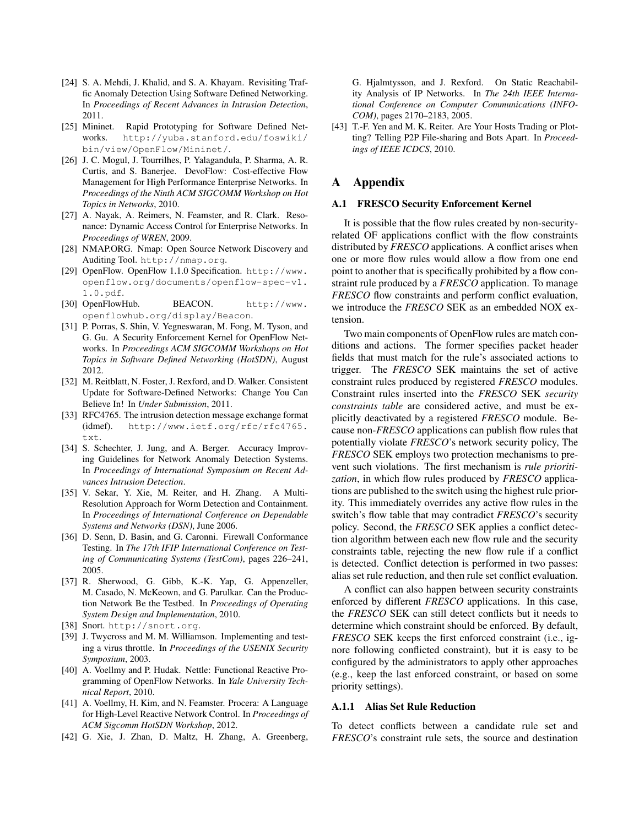- [24] S. A. Mehdi, J. Khalid, and S. A. Khayam. Revisiting Traffic Anomaly Detection Using Software Defined Networking. In *Proceedings of Recent Advances in Intrusion Detection*, 2011.
- [25] Mininet. Rapid Prototyping for Software Defined Networks. http://yuba.stanford.edu/foswiki/ bin/view/OpenFlow/Mininet/.
- [26] J. C. Mogul, J. Tourrilhes, P. Yalagandula, P. Sharma, A. R. Curtis, and S. Banerjee. DevoFlow: Cost-effective Flow Management for High Performance Enterprise Networks. In *Proceedings of the Ninth ACM SIGCOMM Workshop on Hot Topics in Networks*, 2010.
- [27] A. Nayak, A. Reimers, N. Feamster, and R. Clark. Resonance: Dynamic Access Control for Enterprise Networks. In *Proceedings of WREN*, 2009.
- [28] NMAP.ORG. Nmap: Open Source Network Discovery and Auditing Tool. http://nmap.org.
- [29] OpenFlow. OpenFlow 1.1.0 Specification. http://www. openflow.org/documents/openflow-spec-v1. 1.0.pdf.
- [30] OpenFlowHub. BEACON. http://www. openflowhub.org/display/Beacon.
- [31] P. Porras, S. Shin, V. Yegneswaran, M. Fong, M. Tyson, and G. Gu. A Security Enforcement Kernel for OpenFlow Networks. In *Proceedings ACM SIGCOMM Workshops on Hot Topics in Software Defined Networking (HotSDN)*, August 2012.
- [32] M. Reitblatt, N. Foster, J. Rexford, and D. Walker. Consistent Update for Software-Defined Networks: Change You Can Believe In! In *Under Submission*, 2011.
- [33] RFC4765. The intrusion detection message exchange format (idmef). http://www.ietf.org/rfc/rfc4765. txt.
- [34] S. Schechter, J. Jung, and A. Berger. Accuracy Improving Guidelines for Network Anomaly Detection Systems. In *Proceedings of International Symposium on Recent Advances Intrusion Detection*.
- [35] V. Sekar, Y. Xie, M. Reiter, and H. Zhang. A Multi-Resolution Approach for Worm Detection and Containment. In *Proceedings of International Conference on Dependable Systems and Networks (DSN)*, June 2006.
- [36] D. Senn, D. Basin, and G. Caronni. Firewall Conformance Testing. In *The 17th IFIP International Conference on Testing of Communicating Systems (TestCom)*, pages 226–241, 2005.
- [37] R. Sherwood, G. Gibb, K.-K. Yap, G. Appenzeller, M. Casado, N. McKeown, and G. Parulkar. Can the Production Network Be the Testbed. In *Proceedings of Operating System Design and Implementation*, 2010.
- [38] Snort. http://snort.org.
- [39] J. Twycross and M. M. Williamson. Implementing and testing a virus throttle. In *Proceedings of the USENIX Security Symposium*, 2003.
- [40] A. Voellmy and P. Hudak. Nettle: Functional Reactive Programming of OpenFlow Networks. In *Yale University Technical Report*, 2010.
- [41] A. Voellmy, H. Kim, and N. Feamster. Procera: A Language for High-Level Reactive Network Control. In *Proceedings of ACM Sigcomm HotSDN Workshop*, 2012.
- [42] G. Xie, J. Zhan, D. Maltz, H. Zhang, A. Greenberg,

G. Hjalmtysson, and J. Rexford. On Static Reachability Analysis of IP Networks. In *The 24th IEEE International Conference on Computer Communications (INFO-COM)*, pages 2170–2183, 2005.

[43] T.-F. Yen and M. K. Reiter. Are Your Hosts Trading or Plotting? Telling P2P File-sharing and Bots Apart. In *Proceedings of IEEE ICDCS*, 2010.

# A Appendix

#### A.1 FRESCO Security Enforcement Kernel

It is possible that the flow rules created by non-securityrelated OF applications conflict with the flow constraints distributed by *FRESCO* applications. A conflict arises when one or more flow rules would allow a flow from one end point to another that is specifically prohibited by a flow constraint rule produced by a *FRESCO* application. To manage *FRESCO* flow constraints and perform conflict evaluation, we introduce the *FRESCO* SEK as an embedded NOX extension.

Two main components of OpenFlow rules are match conditions and actions. The former specifies packet header fields that must match for the rule's associated actions to trigger. The *FRESCO* SEK maintains the set of active constraint rules produced by registered *FRESCO* modules. Constraint rules inserted into the *FRESCO* SEK *security constraints table* are considered active, and must be explicitly deactivated by a registered *FRESCO* module. Because non-*FRESCO* applications can publish flow rules that potentially violate *FRESCO*'s network security policy, The *FRESCO* SEK employs two protection mechanisms to prevent such violations. The first mechanism is *rule prioritization*, in which flow rules produced by *FRESCO* applications are published to the switch using the highest rule priority. This immediately overrides any active flow rules in the switch's flow table that may contradict *FRESCO*'s security policy. Second, the *FRESCO* SEK applies a conflict detection algorithm between each new flow rule and the security constraints table, rejecting the new flow rule if a conflict is detected. Conflict detection is performed in two passes: alias set rule reduction, and then rule set conflict evaluation.

A conflict can also happen between security constraints enforced by different *FRESCO* applications. In this case, the *FRESCO* SEK can still detect conflicts but it needs to determine which constraint should be enforced. By default, *FRESCO* SEK keeps the first enforced constraint (i.e., ignore following conflicted constraint), but it is easy to be configured by the administrators to apply other approaches (e.g., keep the last enforced constraint, or based on some priority settings).

#### A.1.1 Alias Set Rule Reduction

To detect conflicts between a candidate rule set and *FRESCO*'s constraint rule sets, the source and destination